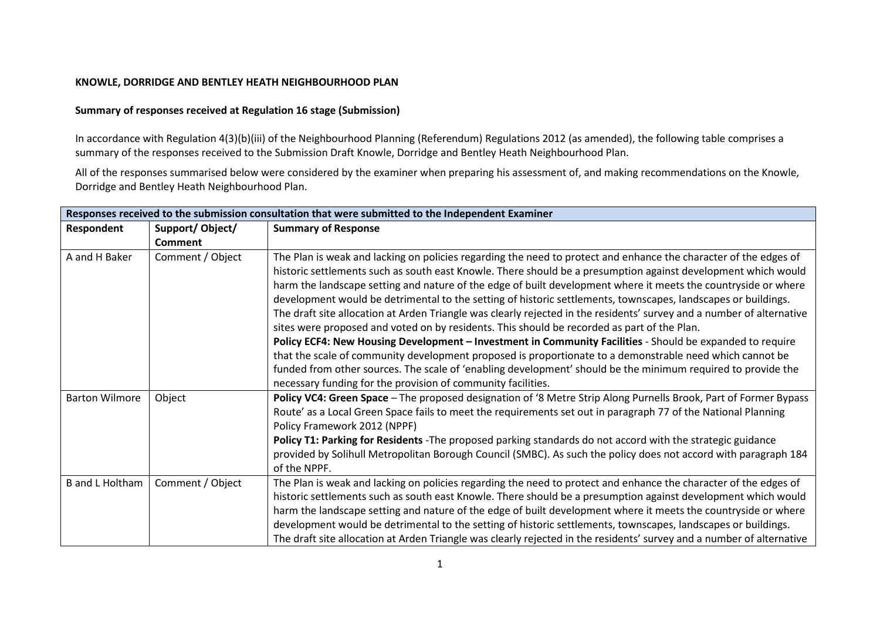## KNOWLE, DORRIDGE AND BENTLEY HEATH NEIGHBOURHOOD PLAN

## Summary of responses received at Regulation 16 stage (Submission)

In accordance with Regulation 4(3)(b)(iii) of the Neighbourhood Planning (Referendum) Regulations 2012 (as amended), the following table comprises a summary of the responses received to the Submission Draft Knowle, Dorridge and Bentley Heath Neighbourhood Plan.

All of the responses summarised below were considered by the examiner when preparing his assessment of, and making recommendations on the Knowle, Dorridge and Bentley Heath Neighbourhood Plan.

| Responses received to the submission consultation that were submitted to the Independent Examiner |                  |                                                                                                                                                                                                                                                                                                                                                                                                                                                                                                                                                                                                                                                                                                                                                                                                                                                                                                                                                                                                                                                                                                       |
|---------------------------------------------------------------------------------------------------|------------------|-------------------------------------------------------------------------------------------------------------------------------------------------------------------------------------------------------------------------------------------------------------------------------------------------------------------------------------------------------------------------------------------------------------------------------------------------------------------------------------------------------------------------------------------------------------------------------------------------------------------------------------------------------------------------------------------------------------------------------------------------------------------------------------------------------------------------------------------------------------------------------------------------------------------------------------------------------------------------------------------------------------------------------------------------------------------------------------------------------|
| Respondent                                                                                        | Support/Object/  | <b>Summary of Response</b>                                                                                                                                                                                                                                                                                                                                                                                                                                                                                                                                                                                                                                                                                                                                                                                                                                                                                                                                                                                                                                                                            |
|                                                                                                   | Comment          |                                                                                                                                                                                                                                                                                                                                                                                                                                                                                                                                                                                                                                                                                                                                                                                                                                                                                                                                                                                                                                                                                                       |
| A and H Baker                                                                                     | Comment / Object | The Plan is weak and lacking on policies regarding the need to protect and enhance the character of the edges of<br>historic settlements such as south east Knowle. There should be a presumption against development which would<br>harm the landscape setting and nature of the edge of built development where it meets the countryside or where<br>development would be detrimental to the setting of historic settlements, townscapes, landscapes or buildings.<br>The draft site allocation at Arden Triangle was clearly rejected in the residents' survey and a number of alternative<br>sites were proposed and voted on by residents. This should be recorded as part of the Plan.<br>Policy ECF4: New Housing Development - Investment in Community Facilities - Should be expanded to require<br>that the scale of community development proposed is proportionate to a demonstrable need which cannot be<br>funded from other sources. The scale of 'enabling development' should be the minimum required to provide the<br>necessary funding for the provision of community facilities. |
| <b>Barton Wilmore</b>                                                                             | Object           | Policy VC4: Green Space - The proposed designation of '8 Metre Strip Along Purnells Brook, Part of Former Bypass<br>Route' as a Local Green Space fails to meet the requirements set out in paragraph 77 of the National Planning<br>Policy Framework 2012 (NPPF)<br>Policy T1: Parking for Residents - The proposed parking standards do not accord with the strategic guidance<br>provided by Solihull Metropolitan Borough Council (SMBC). As such the policy does not accord with paragraph 184<br>of the NPPF.                                                                                                                                                                                                                                                                                                                                                                                                                                                                                                                                                                                   |
| <b>B</b> and L Holtham                                                                            | Comment / Object | The Plan is weak and lacking on policies regarding the need to protect and enhance the character of the edges of<br>historic settlements such as south east Knowle. There should be a presumption against development which would<br>harm the landscape setting and nature of the edge of built development where it meets the countryside or where<br>development would be detrimental to the setting of historic settlements, townscapes, landscapes or buildings.<br>The draft site allocation at Arden Triangle was clearly rejected in the residents' survey and a number of alternative                                                                                                                                                                                                                                                                                                                                                                                                                                                                                                         |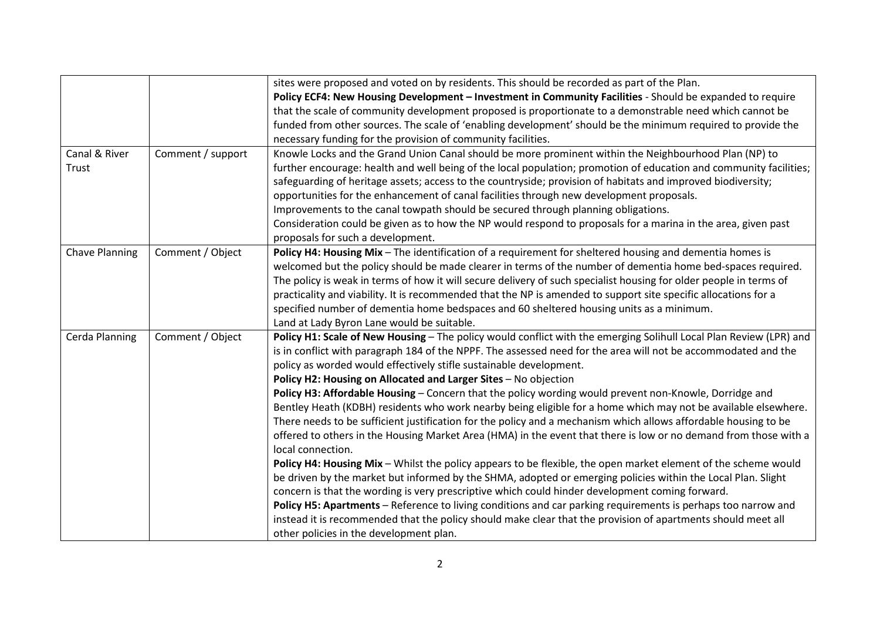|                       |                   | sites were proposed and voted on by residents. This should be recorded as part of the Plan.                                                        |
|-----------------------|-------------------|----------------------------------------------------------------------------------------------------------------------------------------------------|
|                       |                   | Policy ECF4: New Housing Development - Investment in Community Facilities - Should be expanded to require                                          |
|                       |                   | that the scale of community development proposed is proportionate to a demonstrable need which cannot be                                           |
|                       |                   | funded from other sources. The scale of 'enabling development' should be the minimum required to provide the                                       |
|                       |                   | necessary funding for the provision of community facilities.                                                                                       |
| Canal & River         | Comment / support | Knowle Locks and the Grand Union Canal should be more prominent within the Neighbourhood Plan (NP) to                                              |
| Trust                 |                   | further encourage: health and well being of the local population; promotion of education and community facilities;                                 |
|                       |                   | safeguarding of heritage assets; access to the countryside; provision of habitats and improved biodiversity;                                       |
|                       |                   | opportunities for the enhancement of canal facilities through new development proposals.                                                           |
|                       |                   | Improvements to the canal towpath should be secured through planning obligations.                                                                  |
|                       |                   | Consideration could be given as to how the NP would respond to proposals for a marina in the area, given past<br>proposals for such a development. |
| <b>Chave Planning</b> | Comment / Object  | Policy H4: Housing Mix - The identification of a requirement for sheltered housing and dementia homes is                                           |
|                       |                   | welcomed but the policy should be made clearer in terms of the number of dementia home bed-spaces required.                                        |
|                       |                   | The policy is weak in terms of how it will secure delivery of such specialist housing for older people in terms of                                 |
|                       |                   | practicality and viability. It is recommended that the NP is amended to support site specific allocations for a                                    |
|                       |                   | specified number of dementia home bedspaces and 60 sheltered housing units as a minimum.                                                           |
|                       |                   | Land at Lady Byron Lane would be suitable.                                                                                                         |
| Cerda Planning        | Comment / Object  | Policy H1: Scale of New Housing - The policy would conflict with the emerging Solihull Local Plan Review (LPR) and                                 |
|                       |                   | is in conflict with paragraph 184 of the NPPF. The assessed need for the area will not be accommodated and the                                     |
|                       |                   | policy as worded would effectively stifle sustainable development.                                                                                 |
|                       |                   | Policy H2: Housing on Allocated and Larger Sites - No objection                                                                                    |
|                       |                   | Policy H3: Affordable Housing - Concern that the policy wording would prevent non-Knowle, Dorridge and                                             |
|                       |                   | Bentley Heath (KDBH) residents who work nearby being eligible for a home which may not be available elsewhere.                                     |
|                       |                   | There needs to be sufficient justification for the policy and a mechanism which allows affordable housing to be                                    |
|                       |                   | offered to others in the Housing Market Area (HMA) in the event that there is low or no demand from those with a<br>local connection.              |
|                       |                   | Policy H4: Housing Mix - Whilst the policy appears to be flexible, the open market element of the scheme would                                     |
|                       |                   | be driven by the market but informed by the SHMA, adopted or emerging policies within the Local Plan. Slight                                       |
|                       |                   | concern is that the wording is very prescriptive which could hinder development coming forward.                                                    |
|                       |                   | Policy H5: Apartments - Reference to living conditions and car parking requirements is perhaps too narrow and                                      |
|                       |                   | instead it is recommended that the policy should make clear that the provision of apartments should meet all                                       |
|                       |                   | other policies in the development plan.                                                                                                            |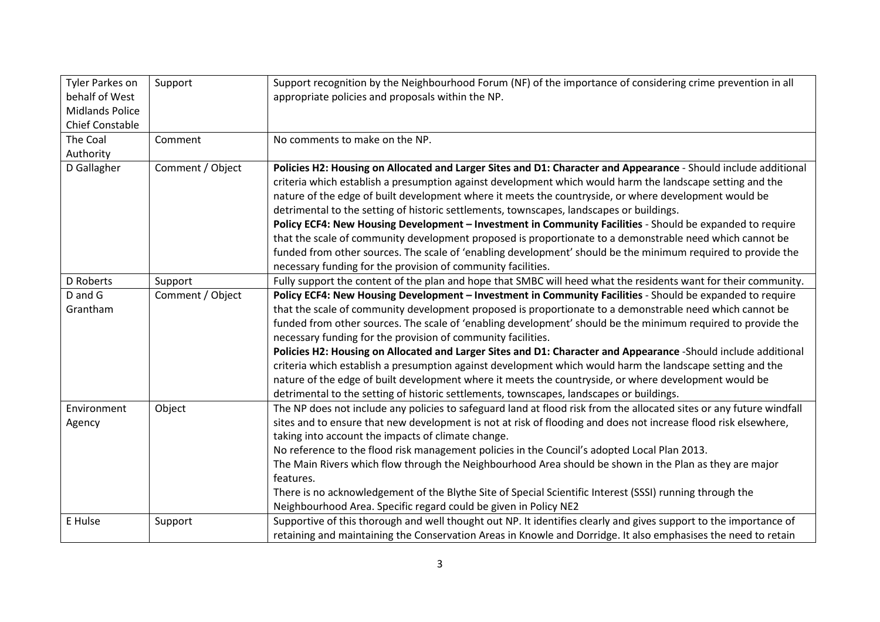| Tyler Parkes on<br>behalf of West<br><b>Midlands Police</b><br><b>Chief Constable</b> | Support          | Support recognition by the Neighbourhood Forum (NF) of the importance of considering crime prevention in all<br>appropriate policies and proposals within the NP.                                                                                                                                                                                                                                                                                                                                                                                                                                                                                                                                                                                                                                                                          |
|---------------------------------------------------------------------------------------|------------------|--------------------------------------------------------------------------------------------------------------------------------------------------------------------------------------------------------------------------------------------------------------------------------------------------------------------------------------------------------------------------------------------------------------------------------------------------------------------------------------------------------------------------------------------------------------------------------------------------------------------------------------------------------------------------------------------------------------------------------------------------------------------------------------------------------------------------------------------|
| The Coal<br>Authority                                                                 | Comment          | No comments to make on the NP.                                                                                                                                                                                                                                                                                                                                                                                                                                                                                                                                                                                                                                                                                                                                                                                                             |
| D Gallagher                                                                           | Comment / Object | Policies H2: Housing on Allocated and Larger Sites and D1: Character and Appearance - Should include additional<br>criteria which establish a presumption against development which would harm the landscape setting and the<br>nature of the edge of built development where it meets the countryside, or where development would be<br>detrimental to the setting of historic settlements, townscapes, landscapes or buildings.<br>Policy ECF4: New Housing Development - Investment in Community Facilities - Should be expanded to require<br>that the scale of community development proposed is proportionate to a demonstrable need which cannot be<br>funded from other sources. The scale of 'enabling development' should be the minimum required to provide the<br>necessary funding for the provision of community facilities. |
| D Roberts                                                                             | Support          | Fully support the content of the plan and hope that SMBC will heed what the residents want for their community.                                                                                                                                                                                                                                                                                                                                                                                                                                                                                                                                                                                                                                                                                                                            |
| D and G<br>Grantham                                                                   | Comment / Object | Policy ECF4: New Housing Development - Investment in Community Facilities - Should be expanded to require<br>that the scale of community development proposed is proportionate to a demonstrable need which cannot be<br>funded from other sources. The scale of 'enabling development' should be the minimum required to provide the<br>necessary funding for the provision of community facilities.<br>Policies H2: Housing on Allocated and Larger Sites and D1: Character and Appearance -Should include additional<br>criteria which establish a presumption against development which would harm the landscape setting and the<br>nature of the edge of built development where it meets the countryside, or where development would be<br>detrimental to the setting of historic settlements, townscapes, landscapes or buildings.  |
| Environment<br>Agency                                                                 | Object           | The NP does not include any policies to safeguard land at flood risk from the allocated sites or any future windfall<br>sites and to ensure that new development is not at risk of flooding and does not increase flood risk elsewhere,<br>taking into account the impacts of climate change.<br>No reference to the flood risk management policies in the Council's adopted Local Plan 2013.<br>The Main Rivers which flow through the Neighbourhood Area should be shown in the Plan as they are major<br>features.<br>There is no acknowledgement of the Blythe Site of Special Scientific Interest (SSSI) running through the<br>Neighbourhood Area. Specific regard could be given in Policy NE2                                                                                                                                      |
| E Hulse                                                                               | Support          | Supportive of this thorough and well thought out NP. It identifies clearly and gives support to the importance of<br>retaining and maintaining the Conservation Areas in Knowle and Dorridge. It also emphasises the need to retain                                                                                                                                                                                                                                                                                                                                                                                                                                                                                                                                                                                                        |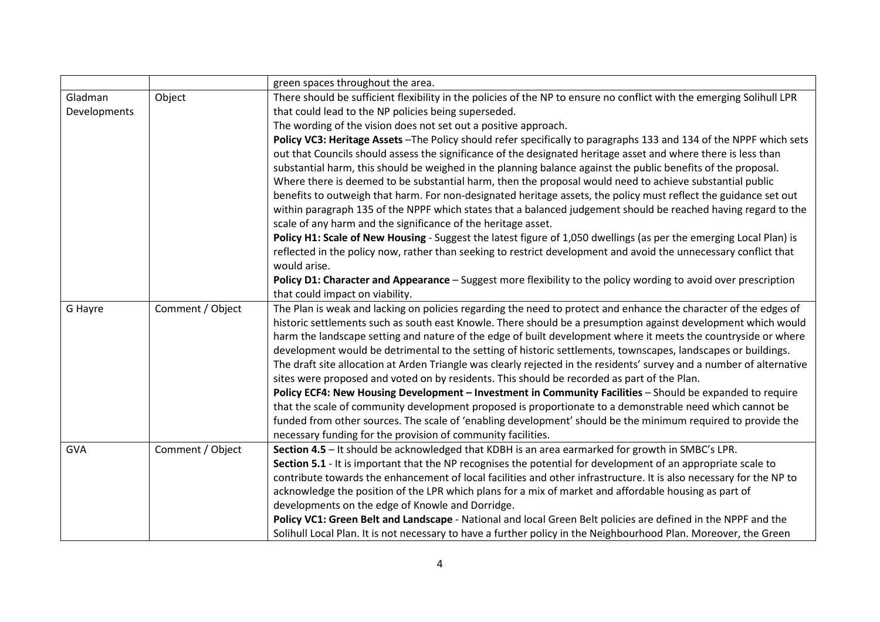|              |                  | green spaces throughout the area.                                                                                     |
|--------------|------------------|-----------------------------------------------------------------------------------------------------------------------|
| Gladman      | Object           | There should be sufficient flexibility in the policies of the NP to ensure no conflict with the emerging Solihull LPR |
| Developments |                  | that could lead to the NP policies being superseded.                                                                  |
|              |                  | The wording of the vision does not set out a positive approach.                                                       |
|              |                  | Policy VC3: Heritage Assets - The Policy should refer specifically to paragraphs 133 and 134 of the NPPF which sets   |
|              |                  | out that Councils should assess the significance of the designated heritage asset and where there is less than        |
|              |                  | substantial harm, this should be weighed in the planning balance against the public benefits of the proposal.         |
|              |                  | Where there is deemed to be substantial harm, then the proposal would need to achieve substantial public              |
|              |                  | benefits to outweigh that harm. For non-designated heritage assets, the policy must reflect the guidance set out      |
|              |                  | within paragraph 135 of the NPPF which states that a balanced judgement should be reached having regard to the        |
|              |                  | scale of any harm and the significance of the heritage asset.                                                         |
|              |                  | Policy H1: Scale of New Housing - Suggest the latest figure of 1,050 dwellings (as per the emerging Local Plan) is    |
|              |                  | reflected in the policy now, rather than seeking to restrict development and avoid the unnecessary conflict that      |
|              |                  | would arise.                                                                                                          |
|              |                  | Policy D1: Character and Appearance - Suggest more flexibility to the policy wording to avoid over prescription       |
|              |                  | that could impact on viability.                                                                                       |
| G Hayre      | Comment / Object | The Plan is weak and lacking on policies regarding the need to protect and enhance the character of the edges of      |
|              |                  | historic settlements such as south east Knowle. There should be a presumption against development which would         |
|              |                  | harm the landscape setting and nature of the edge of built development where it meets the countryside or where        |
|              |                  | development would be detrimental to the setting of historic settlements, townscapes, landscapes or buildings.         |
|              |                  | The draft site allocation at Arden Triangle was clearly rejected in the residents' survey and a number of alternative |
|              |                  | sites were proposed and voted on by residents. This should be recorded as part of the Plan.                           |
|              |                  | Policy ECF4: New Housing Development - Investment in Community Facilities - Should be expanded to require             |
|              |                  | that the scale of community development proposed is proportionate to a demonstrable need which cannot be              |
|              |                  | funded from other sources. The scale of 'enabling development' should be the minimum required to provide the          |
|              |                  | necessary funding for the provision of community facilities.                                                          |
| <b>GVA</b>   | Comment / Object | Section 4.5 - It should be acknowledged that KDBH is an area earmarked for growth in SMBC's LPR.                      |
|              |                  | Section 5.1 - It is important that the NP recognises the potential for development of an appropriate scale to         |
|              |                  | contribute towards the enhancement of local facilities and other infrastructure. It is also necessary for the NP to   |
|              |                  | acknowledge the position of the LPR which plans for a mix of market and affordable housing as part of                 |
|              |                  | developments on the edge of Knowle and Dorridge.                                                                      |
|              |                  | Policy VC1: Green Belt and Landscape - National and local Green Belt policies are defined in the NPPF and the         |
|              |                  | Solihull Local Plan. It is not necessary to have a further policy in the Neighbourhood Plan. Moreover, the Green      |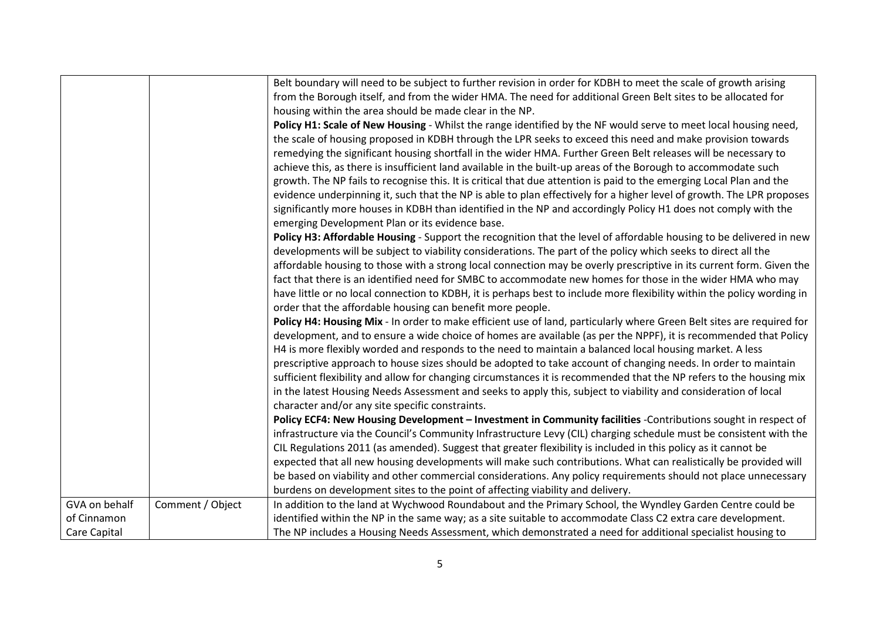|               |                  | Belt boundary will need to be subject to further revision in order for KDBH to meet the scale of growth arising         |
|---------------|------------------|-------------------------------------------------------------------------------------------------------------------------|
|               |                  | from the Borough itself, and from the wider HMA. The need for additional Green Belt sites to be allocated for           |
|               |                  | housing within the area should be made clear in the NP.                                                                 |
|               |                  | Policy H1: Scale of New Housing - Whilst the range identified by the NF would serve to meet local housing need,         |
|               |                  | the scale of housing proposed in KDBH through the LPR seeks to exceed this need and make provision towards              |
|               |                  | remedying the significant housing shortfall in the wider HMA. Further Green Belt releases will be necessary to          |
|               |                  | achieve this, as there is insufficient land available in the built-up areas of the Borough to accommodate such          |
|               |                  | growth. The NP fails to recognise this. It is critical that due attention is paid to the emerging Local Plan and the    |
|               |                  | evidence underpinning it, such that the NP is able to plan effectively for a higher level of growth. The LPR proposes   |
|               |                  | significantly more houses in KDBH than identified in the NP and accordingly Policy H1 does not comply with the          |
|               |                  | emerging Development Plan or its evidence base.                                                                         |
|               |                  | Policy H3: Affordable Housing - Support the recognition that the level of affordable housing to be delivered in new     |
|               |                  | developments will be subject to viability considerations. The part of the policy which seeks to direct all the          |
|               |                  | affordable housing to those with a strong local connection may be overly prescriptive in its current form. Given the    |
|               |                  | fact that there is an identified need for SMBC to accommodate new homes for those in the wider HMA who may              |
|               |                  | have little or no local connection to KDBH, it is perhaps best to include more flexibility within the policy wording in |
|               |                  | order that the affordable housing can benefit more people.                                                              |
|               |                  | Policy H4: Housing Mix - In order to make efficient use of land, particularly where Green Belt sites are required for   |
|               |                  | development, and to ensure a wide choice of homes are available (as per the NPPF), it is recommended that Policy        |
|               |                  | H4 is more flexibly worded and responds to the need to maintain a balanced local housing market. A less                 |
|               |                  | prescriptive approach to house sizes should be adopted to take account of changing needs. In order to maintain          |
|               |                  | sufficient flexibility and allow for changing circumstances it is recommended that the NP refers to the housing mix     |
|               |                  | in the latest Housing Needs Assessment and seeks to apply this, subject to viability and consideration of local         |
|               |                  | character and/or any site specific constraints.                                                                         |
|               |                  | Policy ECF4: New Housing Development - Investment in Community facilities -Contributions sought in respect of           |
|               |                  | infrastructure via the Council's Community Infrastructure Levy (CIL) charging schedule must be consistent with the      |
|               |                  | CIL Regulations 2011 (as amended). Suggest that greater flexibility is included in this policy as it cannot be          |
|               |                  | expected that all new housing developments will make such contributions. What can realistically be provided will        |
|               |                  | be based on viability and other commercial considerations. Any policy requirements should not place unnecessary         |
|               |                  | burdens on development sites to the point of affecting viability and delivery.                                          |
| GVA on behalf | Comment / Object | In addition to the land at Wychwood Roundabout and the Primary School, the Wyndley Garden Centre could be               |
| of Cinnamon   |                  | identified within the NP in the same way; as a site suitable to accommodate Class C2 extra care development.            |
| Care Capital  |                  | The NP includes a Housing Needs Assessment, which demonstrated a need for additional specialist housing to              |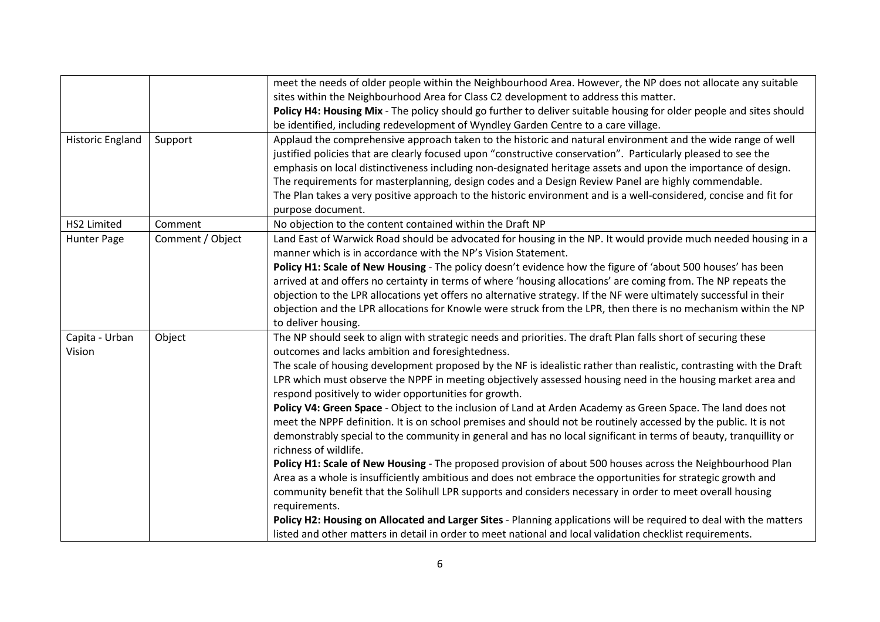|                         |                  | meet the needs of older people within the Neighbourhood Area. However, the NP does not allocate any suitable                               |
|-------------------------|------------------|--------------------------------------------------------------------------------------------------------------------------------------------|
|                         |                  | sites within the Neighbourhood Area for Class C2 development to address this matter.                                                       |
|                         |                  | Policy H4: Housing Mix - The policy should go further to deliver suitable housing for older people and sites should                        |
|                         |                  | be identified, including redevelopment of Wyndley Garden Centre to a care village.                                                         |
| <b>Historic England</b> | Support          | Applaud the comprehensive approach taken to the historic and natural environment and the wide range of well                                |
|                         |                  | justified policies that are clearly focused upon "constructive conservation". Particularly pleased to see the                              |
|                         |                  | emphasis on local distinctiveness including non-designated heritage assets and upon the importance of design.                              |
|                         |                  | The requirements for masterplanning, design codes and a Design Review Panel are highly commendable.                                        |
|                         |                  | The Plan takes a very positive approach to the historic environment and is a well-considered, concise and fit for                          |
|                         |                  | purpose document.                                                                                                                          |
| HS2 Limited             | Comment          | No objection to the content contained within the Draft NP                                                                                  |
| Hunter Page             | Comment / Object | Land East of Warwick Road should be advocated for housing in the NP. It would provide much needed housing in a                             |
|                         |                  | manner which is in accordance with the NP's Vision Statement.                                                                              |
|                         |                  | Policy H1: Scale of New Housing - The policy doesn't evidence how the figure of 'about 500 houses' has been                                |
|                         |                  | arrived at and offers no certainty in terms of where 'housing allocations' are coming from. The NP repeats the                             |
|                         |                  | objection to the LPR allocations yet offers no alternative strategy. If the NF were ultimately successful in their                         |
|                         |                  | objection and the LPR allocations for Knowle were struck from the LPR, then there is no mechanism within the NP                            |
|                         |                  | to deliver housing.                                                                                                                        |
| Capita - Urban          | Object           | The NP should seek to align with strategic needs and priorities. The draft Plan falls short of securing these                              |
| Vision                  |                  | outcomes and lacks ambition and foresightedness.                                                                                           |
|                         |                  | The scale of housing development proposed by the NF is idealistic rather than realistic, contrasting with the Draft                        |
|                         |                  | LPR which must observe the NPPF in meeting objectively assessed housing need in the housing market area and                                |
|                         |                  | respond positively to wider opportunities for growth.                                                                                      |
|                         |                  | Policy V4: Green Space - Object to the inclusion of Land at Arden Academy as Green Space. The land does not                                |
|                         |                  | meet the NPPF definition. It is on school premises and should not be routinely accessed by the public. It is not                           |
|                         |                  | demonstrably special to the community in general and has no local significant in terms of beauty, tranquillity or<br>richness of wildlife. |
|                         |                  | Policy H1: Scale of New Housing - The proposed provision of about 500 houses across the Neighbourhood Plan                                 |
|                         |                  | Area as a whole is insufficiently ambitious and does not embrace the opportunities for strategic growth and                                |
|                         |                  | community benefit that the Solihull LPR supports and considers necessary in order to meet overall housing                                  |
|                         |                  | requirements.                                                                                                                              |
|                         |                  | Policy H2: Housing on Allocated and Larger Sites - Planning applications will be required to deal with the matters                         |
|                         |                  | listed and other matters in detail in order to meet national and local validation checklist requirements.                                  |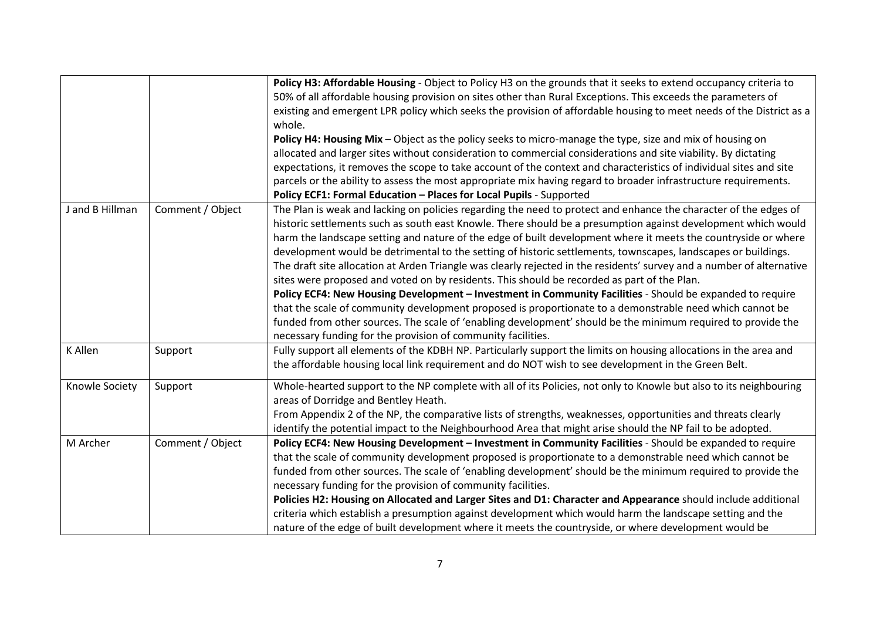|                 |                  | Policy H3: Affordable Housing - Object to Policy H3 on the grounds that it seeks to extend occupancy criteria to      |
|-----------------|------------------|-----------------------------------------------------------------------------------------------------------------------|
|                 |                  | 50% of all affordable housing provision on sites other than Rural Exceptions. This exceeds the parameters of          |
|                 |                  | existing and emergent LPR policy which seeks the provision of affordable housing to meet needs of the District as a   |
|                 |                  | whole.                                                                                                                |
|                 |                  | Policy H4: Housing Mix - Object as the policy seeks to micro-manage the type, size and mix of housing on              |
|                 |                  | allocated and larger sites without consideration to commercial considerations and site viability. By dictating        |
|                 |                  | expectations, it removes the scope to take account of the context and characteristics of individual sites and site    |
|                 |                  | parcels or the ability to assess the most appropriate mix having regard to broader infrastructure requirements.       |
|                 |                  | Policy ECF1: Formal Education - Places for Local Pupils - Supported                                                   |
| J and B Hillman | Comment / Object | The Plan is weak and lacking on policies regarding the need to protect and enhance the character of the edges of      |
|                 |                  | historic settlements such as south east Knowle. There should be a presumption against development which would         |
|                 |                  | harm the landscape setting and nature of the edge of built development where it meets the countryside or where        |
|                 |                  | development would be detrimental to the setting of historic settlements, townscapes, landscapes or buildings.         |
|                 |                  | The draft site allocation at Arden Triangle was clearly rejected in the residents' survey and a number of alternative |
|                 |                  | sites were proposed and voted on by residents. This should be recorded as part of the Plan.                           |
|                 |                  | Policy ECF4: New Housing Development - Investment in Community Facilities - Should be expanded to require             |
|                 |                  | that the scale of community development proposed is proportionate to a demonstrable need which cannot be              |
|                 |                  | funded from other sources. The scale of 'enabling development' should be the minimum required to provide the          |
|                 |                  | necessary funding for the provision of community facilities.                                                          |
| K Allen         | Support          | Fully support all elements of the KDBH NP. Particularly support the limits on housing allocations in the area and     |
|                 |                  | the affordable housing local link requirement and do NOT wish to see development in the Green Belt.                   |
| Knowle Society  | Support          | Whole-hearted support to the NP complete with all of its Policies, not only to Knowle but also to its neighbouring    |
|                 |                  | areas of Dorridge and Bentley Heath.                                                                                  |
|                 |                  | From Appendix 2 of the NP, the comparative lists of strengths, weaknesses, opportunities and threats clearly          |
|                 |                  | identify the potential impact to the Neighbourhood Area that might arise should the NP fail to be adopted.            |
| M Archer        | Comment / Object | Policy ECF4: New Housing Development - Investment in Community Facilities - Should be expanded to require             |
|                 |                  | that the scale of community development proposed is proportionate to a demonstrable need which cannot be              |
|                 |                  | funded from other sources. The scale of 'enabling development' should be the minimum required to provide the          |
|                 |                  | necessary funding for the provision of community facilities.                                                          |
|                 |                  | Policies H2: Housing on Allocated and Larger Sites and D1: Character and Appearance should include additional         |
|                 |                  | criteria which establish a presumption against development which would harm the landscape setting and the             |
|                 |                  | nature of the edge of built development where it meets the countryside, or where development would be                 |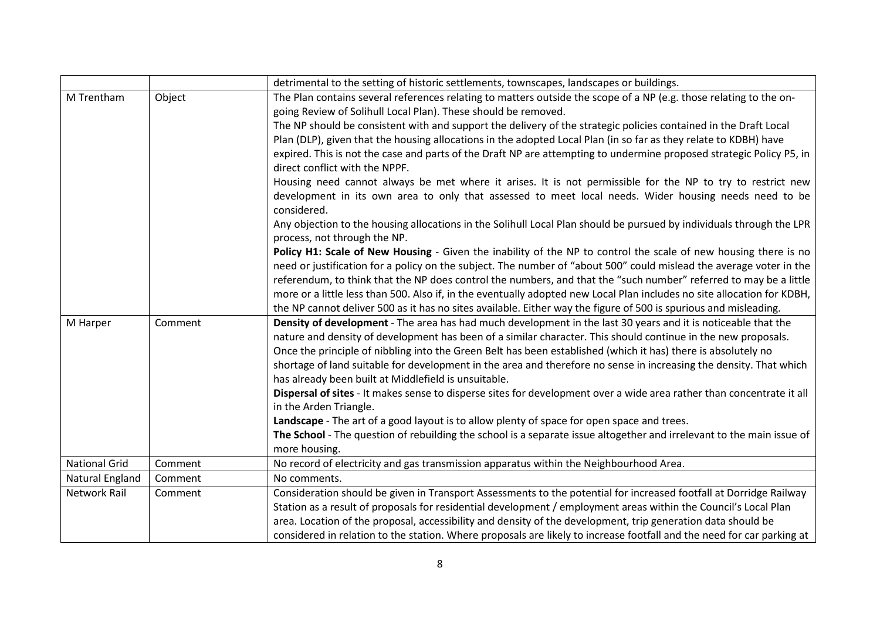|                      |         | detrimental to the setting of historic settlements, townscapes, landscapes or buildings.                                                               |
|----------------------|---------|--------------------------------------------------------------------------------------------------------------------------------------------------------|
| M Trentham           | Object  | The Plan contains several references relating to matters outside the scope of a NP (e.g. those relating to the on-                                     |
|                      |         | going Review of Solihull Local Plan). These should be removed.                                                                                         |
|                      |         | The NP should be consistent with and support the delivery of the strategic policies contained in the Draft Local                                       |
|                      |         | Plan (DLP), given that the housing allocations in the adopted Local Plan (in so far as they relate to KDBH) have                                       |
|                      |         | expired. This is not the case and parts of the Draft NP are attempting to undermine proposed strategic Policy P5, in<br>direct conflict with the NPPF. |
|                      |         | Housing need cannot always be met where it arises. It is not permissible for the NP to try to restrict new                                             |
|                      |         | development in its own area to only that assessed to meet local needs. Wider housing needs need to be<br>considered.                                   |
|                      |         | Any objection to the housing allocations in the Solihull Local Plan should be pursued by individuals through the LPR<br>process, not through the NP.   |
|                      |         | Policy H1: Scale of New Housing - Given the inability of the NP to control the scale of new housing there is no                                        |
|                      |         | need or justification for a policy on the subject. The number of "about 500" could mislead the average voter in the                                    |
|                      |         | referendum, to think that the NP does control the numbers, and that the "such number" referred to may be a little                                      |
|                      |         | more or a little less than 500. Also if, in the eventually adopted new Local Plan includes no site allocation for KDBH,                                |
|                      |         | the NP cannot deliver 500 as it has no sites available. Either way the figure of 500 is spurious and misleading.                                       |
| M Harper             | Comment | Density of development - The area has had much development in the last 30 years and it is noticeable that the                                          |
|                      |         | nature and density of development has been of a similar character. This should continue in the new proposals.                                          |
|                      |         | Once the principle of nibbling into the Green Belt has been established (which it has) there is absolutely no                                          |
|                      |         | shortage of land suitable for development in the area and therefore no sense in increasing the density. That which                                     |
|                      |         | has already been built at Middlefield is unsuitable.                                                                                                   |
|                      |         | Dispersal of sites - It makes sense to disperse sites for development over a wide area rather than concentrate it all                                  |
|                      |         | in the Arden Triangle.                                                                                                                                 |
|                      |         | Landscape - The art of a good layout is to allow plenty of space for open space and trees.                                                             |
|                      |         | The School - The question of rebuilding the school is a separate issue altogether and irrelevant to the main issue of                                  |
|                      |         | more housing.                                                                                                                                          |
| <b>National Grid</b> | Comment | No record of electricity and gas transmission apparatus within the Neighbourhood Area.                                                                 |
| Natural England      | Comment | No comments.                                                                                                                                           |
| <b>Network Rail</b>  | Comment | Consideration should be given in Transport Assessments to the potential for increased footfall at Dorridge Railway                                     |
|                      |         | Station as a result of proposals for residential development / employment areas within the Council's Local Plan                                        |
|                      |         | area. Location of the proposal, accessibility and density of the development, trip generation data should be                                           |
|                      |         | considered in relation to the station. Where proposals are likely to increase footfall and the need for car parking at                                 |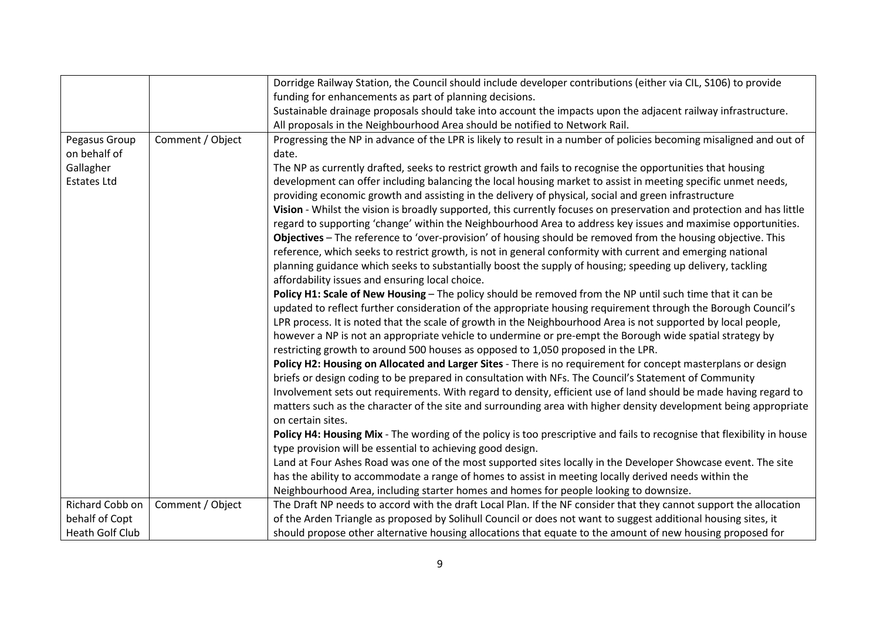|                        |                  | Dorridge Railway Station, the Council should include developer contributions (either via CIL, S106) to provide          |
|------------------------|------------------|-------------------------------------------------------------------------------------------------------------------------|
|                        |                  | funding for enhancements as part of planning decisions.                                                                 |
|                        |                  | Sustainable drainage proposals should take into account the impacts upon the adjacent railway infrastructure.           |
|                        |                  | All proposals in the Neighbourhood Area should be notified to Network Rail.                                             |
| Pegasus Group          | Comment / Object | Progressing the NP in advance of the LPR is likely to result in a number of policies becoming misaligned and out of     |
| on behalf of           |                  | date.                                                                                                                   |
| Gallagher              |                  | The NP as currently drafted, seeks to restrict growth and fails to recognise the opportunities that housing             |
| <b>Estates Ltd</b>     |                  | development can offer including balancing the local housing market to assist in meeting specific unmet needs,           |
|                        |                  | providing economic growth and assisting in the delivery of physical, social and green infrastructure                    |
|                        |                  | Vision - Whilst the vision is broadly supported, this currently focuses on preservation and protection and has little   |
|                        |                  | regard to supporting 'change' within the Neighbourhood Area to address key issues and maximise opportunities.           |
|                        |                  | Objectives - The reference to 'over-provision' of housing should be removed from the housing objective. This            |
|                        |                  | reference, which seeks to restrict growth, is not in general conformity with current and emerging national              |
|                        |                  | planning guidance which seeks to substantially boost the supply of housing; speeding up delivery, tackling              |
|                        |                  | affordability issues and ensuring local choice.                                                                         |
|                        |                  | Policy H1: Scale of New Housing - The policy should be removed from the NP until such time that it can be               |
|                        |                  | updated to reflect further consideration of the appropriate housing requirement through the Borough Council's           |
|                        |                  | LPR process. It is noted that the scale of growth in the Neighbourhood Area is not supported by local people,           |
|                        |                  | however a NP is not an appropriate vehicle to undermine or pre-empt the Borough wide spatial strategy by                |
|                        |                  | restricting growth to around 500 houses as opposed to 1,050 proposed in the LPR.                                        |
|                        |                  | Policy H2: Housing on Allocated and Larger Sites - There is no requirement for concept masterplans or design            |
|                        |                  | briefs or design coding to be prepared in consultation with NFs. The Council's Statement of Community                   |
|                        |                  | Involvement sets out requirements. With regard to density, efficient use of land should be made having regard to        |
|                        |                  | matters such as the character of the site and surrounding area with higher density development being appropriate        |
|                        |                  | on certain sites.                                                                                                       |
|                        |                  | Policy H4: Housing Mix - The wording of the policy is too prescriptive and fails to recognise that flexibility in house |
|                        |                  | type provision will be essential to achieving good design.                                                              |
|                        |                  | Land at Four Ashes Road was one of the most supported sites locally in the Developer Showcase event. The site           |
|                        |                  | has the ability to accommodate a range of homes to assist in meeting locally derived needs within the                   |
|                        |                  | Neighbourhood Area, including starter homes and homes for people looking to downsize.                                   |
| Richard Cobb on        | Comment / Object | The Draft NP needs to accord with the draft Local Plan. If the NF consider that they cannot support the allocation      |
| behalf of Copt         |                  | of the Arden Triangle as proposed by Solihull Council or does not want to suggest additional housing sites, it          |
| <b>Heath Golf Club</b> |                  | should propose other alternative housing allocations that equate to the amount of new housing proposed for              |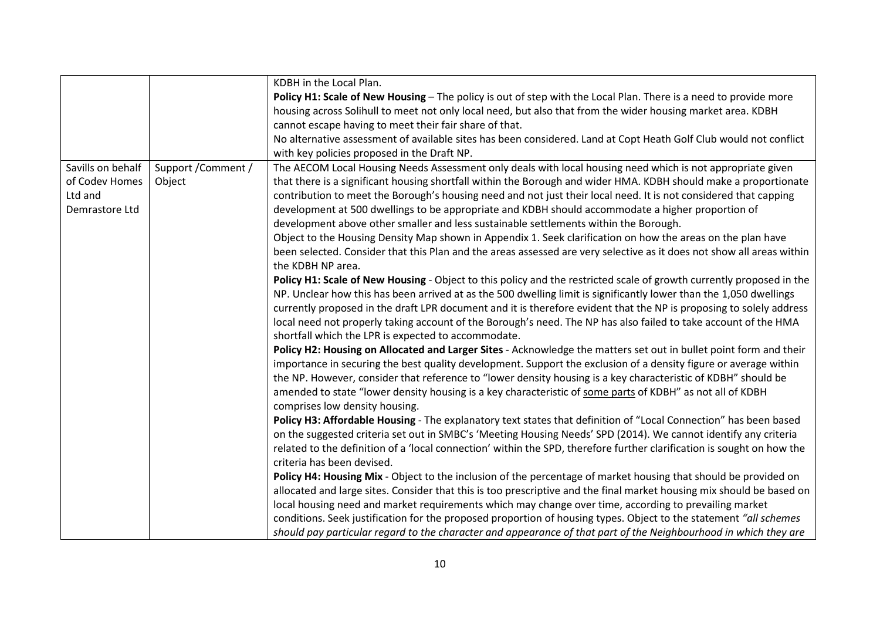|                   |                     | KDBH in the Local Plan.                                                                                                |
|-------------------|---------------------|------------------------------------------------------------------------------------------------------------------------|
|                   |                     | Policy H1: Scale of New Housing - The policy is out of step with the Local Plan. There is a need to provide more       |
|                   |                     | housing across Solihull to meet not only local need, but also that from the wider housing market area. KDBH            |
|                   |                     | cannot escape having to meet their fair share of that.                                                                 |
|                   |                     | No alternative assessment of available sites has been considered. Land at Copt Heath Golf Club would not conflict      |
|                   |                     | with key policies proposed in the Draft NP.                                                                            |
| Savills on behalf | Support / Comment / | The AECOM Local Housing Needs Assessment only deals with local housing need which is not appropriate given             |
| of Codev Homes    | Object              | that there is a significant housing shortfall within the Borough and wider HMA. KDBH should make a proportionate       |
| Ltd and           |                     | contribution to meet the Borough's housing need and not just their local need. It is not considered that capping       |
| Demrastore Ltd    |                     | development at 500 dwellings to be appropriate and KDBH should accommodate a higher proportion of                      |
|                   |                     | development above other smaller and less sustainable settlements within the Borough.                                   |
|                   |                     | Object to the Housing Density Map shown in Appendix 1. Seek clarification on how the areas on the plan have            |
|                   |                     | been selected. Consider that this Plan and the areas assessed are very selective as it does not show all areas within  |
|                   |                     | the KDBH NP area.                                                                                                      |
|                   |                     | Policy H1: Scale of New Housing - Object to this policy and the restricted scale of growth currently proposed in the   |
|                   |                     | NP. Unclear how this has been arrived at as the 500 dwelling limit is significantly lower than the 1,050 dwellings     |
|                   |                     | currently proposed in the draft LPR document and it is therefore evident that the NP is proposing to solely address    |
|                   |                     | local need not properly taking account of the Borough's need. The NP has also failed to take account of the HMA        |
|                   |                     | shortfall which the LPR is expected to accommodate.                                                                    |
|                   |                     | Policy H2: Housing on Allocated and Larger Sites - Acknowledge the matters set out in bullet point form and their      |
|                   |                     | importance in securing the best quality development. Support the exclusion of a density figure or average within       |
|                   |                     | the NP. However, consider that reference to "lower density housing is a key characteristic of KDBH" should be          |
|                   |                     | amended to state "lower density housing is a key characteristic of some parts of KDBH" as not all of KDBH              |
|                   |                     | comprises low density housing.                                                                                         |
|                   |                     | Policy H3: Affordable Housing - The explanatory text states that definition of "Local Connection" has been based       |
|                   |                     | on the suggested criteria set out in SMBC's 'Meeting Housing Needs' SPD (2014). We cannot identify any criteria        |
|                   |                     | related to the definition of a 'local connection' within the SPD, therefore further clarification is sought on how the |
|                   |                     | criteria has been devised.                                                                                             |
|                   |                     | Policy H4: Housing Mix - Object to the inclusion of the percentage of market housing that should be provided on        |
|                   |                     | allocated and large sites. Consider that this is too prescriptive and the final market housing mix should be based on  |
|                   |                     | local housing need and market requirements which may change over time, according to prevailing market                  |
|                   |                     | conditions. Seek justification for the proposed proportion of housing types. Object to the statement "all schemes      |
|                   |                     | should pay particular regard to the character and appearance of that part of the Neighbourhood in which they are       |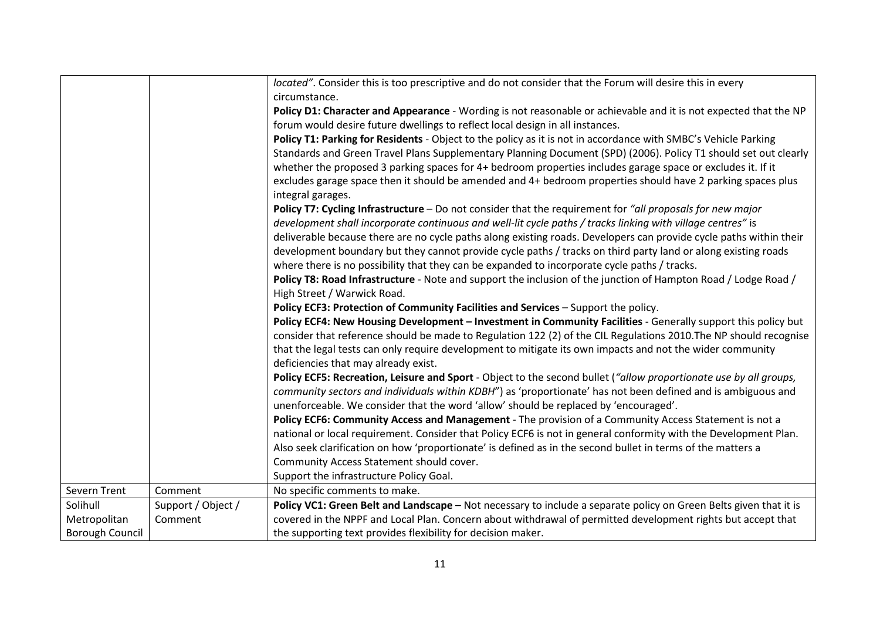|                 |                    | located". Consider this is too prescriptive and do not consider that the Forum will desire this in every           |
|-----------------|--------------------|--------------------------------------------------------------------------------------------------------------------|
|                 |                    | circumstance.                                                                                                      |
|                 |                    | Policy D1: Character and Appearance - Wording is not reasonable or achievable and it is not expected that the NP   |
|                 |                    | forum would desire future dwellings to reflect local design in all instances.                                      |
|                 |                    | Policy T1: Parking for Residents - Object to the policy as it is not in accordance with SMBC's Vehicle Parking     |
|                 |                    | Standards and Green Travel Plans Supplementary Planning Document (SPD) (2006). Policy T1 should set out clearly    |
|                 |                    | whether the proposed 3 parking spaces for 4+ bedroom properties includes garage space or excludes it. If it        |
|                 |                    | excludes garage space then it should be amended and 4+ bedroom properties should have 2 parking spaces plus        |
|                 |                    | integral garages.                                                                                                  |
|                 |                    | Policy T7: Cycling Infrastructure - Do not consider that the requirement for "all proposals for new major          |
|                 |                    | development shall incorporate continuous and well-lit cycle paths / tracks linking with village centres" is        |
|                 |                    | deliverable because there are no cycle paths along existing roads. Developers can provide cycle paths within their |
|                 |                    | development boundary but they cannot provide cycle paths / tracks on third party land or along existing roads      |
|                 |                    | where there is no possibility that they can be expanded to incorporate cycle paths / tracks.                       |
|                 |                    | Policy T8: Road Infrastructure - Note and support the inclusion of the junction of Hampton Road / Lodge Road /     |
|                 |                    | High Street / Warwick Road.                                                                                        |
|                 |                    | Policy ECF3: Protection of Community Facilities and Services - Support the policy.                                 |
|                 |                    | Policy ECF4: New Housing Development - Investment in Community Facilities - Generally support this policy but      |
|                 |                    | consider that reference should be made to Regulation 122 (2) of the CIL Regulations 2010. The NP should recognise  |
|                 |                    | that the legal tests can only require development to mitigate its own impacts and not the wider community          |
|                 |                    | deficiencies that may already exist.                                                                               |
|                 |                    | Policy ECF5: Recreation, Leisure and Sport - Object to the second bullet ("allow proportionate use by all groups,  |
|                 |                    | community sectors and individuals within KDBH") as 'proportionate' has not been defined and is ambiguous and       |
|                 |                    | unenforceable. We consider that the word 'allow' should be replaced by 'encouraged'.                               |
|                 |                    | Policy ECF6: Community Access and Management - The provision of a Community Access Statement is not a              |
|                 |                    | national or local requirement. Consider that Policy ECF6 is not in general conformity with the Development Plan.   |
|                 |                    | Also seek clarification on how 'proportionate' is defined as in the second bullet in terms of the matters a        |
|                 |                    | Community Access Statement should cover.                                                                           |
|                 |                    | Support the infrastructure Policy Goal.                                                                            |
| Severn Trent    | Comment            | No specific comments to make.                                                                                      |
| Solihull        | Support / Object / | Policy VC1: Green Belt and Landscape - Not necessary to include a separate policy on Green Belts given that it is  |
| Metropolitan    | Comment            | covered in the NPPF and Local Plan. Concern about withdrawal of permitted development rights but accept that       |
| Borough Council |                    | the supporting text provides flexibility for decision maker.                                                       |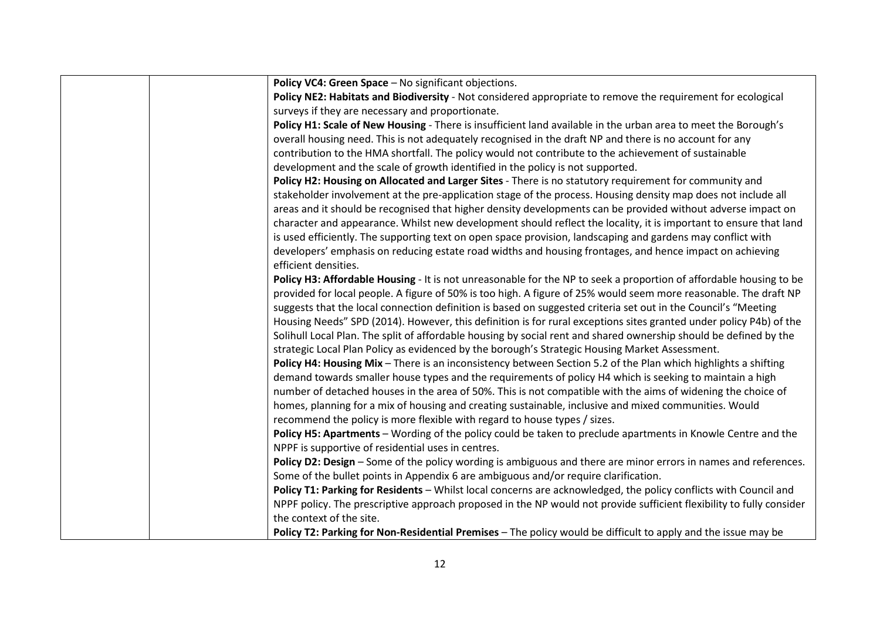| Policy VC4: Green Space - No significant objections.                                                                 |
|----------------------------------------------------------------------------------------------------------------------|
| Policy NE2: Habitats and Biodiversity - Not considered appropriate to remove the requirement for ecological          |
| surveys if they are necessary and proportionate.                                                                     |
| Policy H1: Scale of New Housing - There is insufficient land available in the urban area to meet the Borough's       |
| overall housing need. This is not adequately recognised in the draft NP and there is no account for any              |
| contribution to the HMA shortfall. The policy would not contribute to the achievement of sustainable                 |
| development and the scale of growth identified in the policy is not supported.                                       |
| Policy H2: Housing on Allocated and Larger Sites - There is no statutory requirement for community and               |
| stakeholder involvement at the pre-application stage of the process. Housing density map does not include all        |
| areas and it should be recognised that higher density developments can be provided without adverse impact on         |
| character and appearance. Whilst new development should reflect the locality, it is important to ensure that land    |
| is used efficiently. The supporting text on open space provision, landscaping and gardens may conflict with          |
| developers' emphasis on reducing estate road widths and housing frontages, and hence impact on achieving             |
| efficient densities.                                                                                                 |
| Policy H3: Affordable Housing - It is not unreasonable for the NP to seek a proportion of affordable housing to be   |
| provided for local people. A figure of 50% is too high. A figure of 25% would seem more reasonable. The draft NP     |
| suggests that the local connection definition is based on suggested criteria set out in the Council's "Meeting       |
| Housing Needs" SPD (2014). However, this definition is for rural exceptions sites granted under policy P4b) of the   |
| Solihull Local Plan. The split of affordable housing by social rent and shared ownership should be defined by the    |
| strategic Local Plan Policy as evidenced by the borough's Strategic Housing Market Assessment.                       |
| Policy H4: Housing Mix - There is an inconsistency between Section 5.2 of the Plan which highlights a shifting       |
| demand towards smaller house types and the requirements of policy H4 which is seeking to maintain a high             |
| number of detached houses in the area of 50%. This is not compatible with the aims of widening the choice of         |
| homes, planning for a mix of housing and creating sustainable, inclusive and mixed communities. Would                |
| recommend the policy is more flexible with regard to house types / sizes.                                            |
| Policy H5: Apartments - Wording of the policy could be taken to preclude apartments in Knowle Centre and the         |
| NPPF is supportive of residential uses in centres.                                                                   |
| Policy D2: Design - Some of the policy wording is ambiguous and there are minor errors in names and references.      |
| Some of the bullet points in Appendix 6 are ambiguous and/or require clarification.                                  |
| Policy T1: Parking for Residents - Whilst local concerns are acknowledged, the policy conflicts with Council and     |
| NPPF policy. The prescriptive approach proposed in the NP would not provide sufficient flexibility to fully consider |
| the context of the site.                                                                                             |
| Policy T2: Parking for Non-Residential Premises - The policy would be difficult to apply and the issue may be        |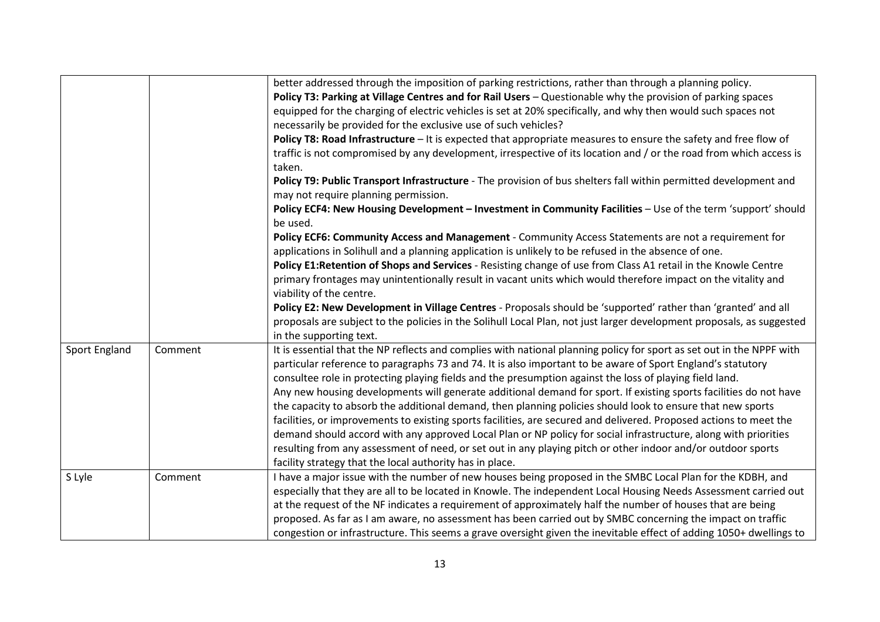|               |         | better addressed through the imposition of parking restrictions, rather than through a planning policy.                                                                                                      |
|---------------|---------|--------------------------------------------------------------------------------------------------------------------------------------------------------------------------------------------------------------|
|               |         | Policy T3: Parking at Village Centres and for Rail Users - Questionable why the provision of parking spaces                                                                                                  |
|               |         | equipped for the charging of electric vehicles is set at 20% specifically, and why then would such spaces not                                                                                                |
|               |         | necessarily be provided for the exclusive use of such vehicles?                                                                                                                                              |
|               |         | Policy T8: Road Infrastructure - It is expected that appropriate measures to ensure the safety and free flow of                                                                                              |
|               |         | traffic is not compromised by any development, irrespective of its location and / or the road from which access is<br>taken.                                                                                 |
|               |         | Policy T9: Public Transport Infrastructure - The provision of bus shelters fall within permitted development and<br>may not require planning permission.                                                     |
|               |         | Policy ECF4: New Housing Development - Investment in Community Facilities - Use of the term 'support' should<br>be used.                                                                                     |
|               |         | Policy ECF6: Community Access and Management - Community Access Statements are not a requirement for<br>applications in Solihull and a planning application is unlikely to be refused in the absence of one. |
|               |         | Policy E1:Retention of Shops and Services - Resisting change of use from Class A1 retail in the Knowle Centre                                                                                                |
|               |         | primary frontages may unintentionally result in vacant units which would therefore impact on the vitality and                                                                                                |
|               |         | viability of the centre.                                                                                                                                                                                     |
|               |         | Policy E2: New Development in Village Centres - Proposals should be 'supported' rather than 'granted' and all                                                                                                |
|               |         | proposals are subject to the policies in the Solihull Local Plan, not just larger development proposals, as suggested                                                                                        |
|               |         | in the supporting text.                                                                                                                                                                                      |
| Sport England | Comment | It is essential that the NP reflects and complies with national planning policy for sport as set out in the NPPF with                                                                                        |
|               |         | particular reference to paragraphs 73 and 74. It is also important to be aware of Sport England's statutory                                                                                                  |
|               |         | consultee role in protecting playing fields and the presumption against the loss of playing field land.                                                                                                      |
|               |         | Any new housing developments will generate additional demand for sport. If existing sports facilities do not have                                                                                            |
|               |         | the capacity to absorb the additional demand, then planning policies should look to ensure that new sports                                                                                                   |
|               |         | facilities, or improvements to existing sports facilities, are secured and delivered. Proposed actions to meet the                                                                                           |
|               |         | demand should accord with any approved Local Plan or NP policy for social infrastructure, along with priorities                                                                                              |
|               |         | resulting from any assessment of need, or set out in any playing pitch or other indoor and/or outdoor sports                                                                                                 |
|               |         | facility strategy that the local authority has in place.                                                                                                                                                     |
| S Lyle        | Comment | I have a major issue with the number of new houses being proposed in the SMBC Local Plan for the KDBH, and                                                                                                   |
|               |         | especially that they are all to be located in Knowle. The independent Local Housing Needs Assessment carried out                                                                                             |
|               |         | at the request of the NF indicates a requirement of approximately half the number of houses that are being                                                                                                   |
|               |         | proposed. As far as I am aware, no assessment has been carried out by SMBC concerning the impact on traffic                                                                                                  |
|               |         | congestion or infrastructure. This seems a grave oversight given the inevitable effect of adding 1050+ dwellings to                                                                                          |